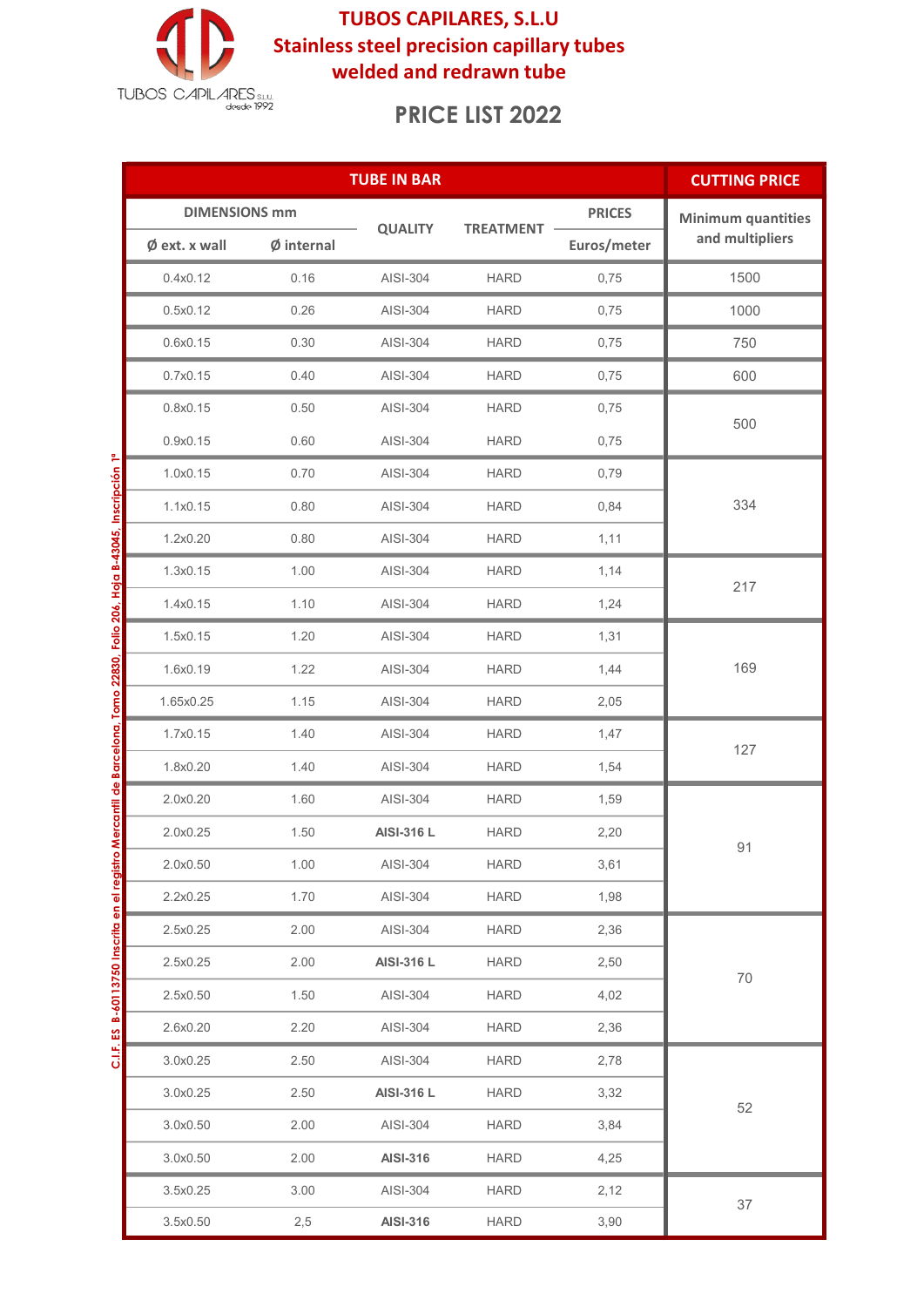

TUBOS CAPILARES, S.L.U Stainless steel precision capillary tubes welded and redrawn tube

# PRICE LIST 2022

|                                                                                                                          |                         | <b>CUTTING PRICE</b> |                 |                  |               |                           |
|--------------------------------------------------------------------------------------------------------------------------|-------------------------|----------------------|-----------------|------------------|---------------|---------------------------|
|                                                                                                                          | <b>DIMENSIONS mm</b>    |                      |                 |                  | <b>PRICES</b> | <b>Minimum quantities</b> |
|                                                                                                                          | $\emptyset$ ext. x wall | $Ø$ internal         | <b>QUALITY</b>  | <b>TREATMENT</b> | Euros/meter   | and multipliers           |
|                                                                                                                          | 0.4x0.12                | 0.16                 | AISI-304        | <b>HARD</b>      | 0,75          | 1500                      |
|                                                                                                                          | 0.5x0.12                | 0.26                 | AISI-304        | <b>HARD</b>      | 0,75          | 1000                      |
|                                                                                                                          | 0.6x0.15                | 0.30                 | AISI-304        | <b>HARD</b>      | 0,75          | 750                       |
|                                                                                                                          | 0.7x0.15                | 0.40                 | AISI-304        | <b>HARD</b>      | 0,75          | 600                       |
|                                                                                                                          | 0.8x0.15                | 0.50                 | AISI-304        | <b>HARD</b>      | 0,75          | 500                       |
|                                                                                                                          | 0.9x0.15                | 0.60                 | AISI-304        | <b>HARD</b>      | 0,75          |                           |
| C.I.F. ES B-60113750 Inscrita en el registro Mercantil de Barcelona, Tomo 22830, Folio 206, Hoja B-43045, Inscripción 1ª | 1.0x0.15                | 0.70                 | AISI-304        | <b>HARD</b>      | 0,79          | 334                       |
|                                                                                                                          | 1.1x0.15                | 0.80                 | AISI-304        | <b>HARD</b>      | 0,84          |                           |
|                                                                                                                          | 1.2x0.20                | 0.80                 | AISI-304        | <b>HARD</b>      | 1,11          |                           |
|                                                                                                                          | 1.3x0.15                | 1.00                 | AISI-304        | <b>HARD</b>      | 1,14          | 217                       |
|                                                                                                                          | 1.4x0.15                | 1.10                 | AISI-304        | <b>HARD</b>      | 1,24          |                           |
|                                                                                                                          | 1.5x0.15                | 1.20                 | AISI-304        | <b>HARD</b>      | 1,31          | 169                       |
|                                                                                                                          | 1.6x0.19                | 1.22                 | AISI-304        | <b>HARD</b>      | 1,44          |                           |
|                                                                                                                          | 1.65x0.25               | 1.15                 | AISI-304        | <b>HARD</b>      | 2,05          |                           |
|                                                                                                                          | 1.7x0.15                | 1.40                 | AISI-304        | <b>HARD</b>      | 1,47          | 127                       |
|                                                                                                                          | 1.8x0.20                | 1.40                 | AISI-304        | <b>HARD</b>      | 1,54          |                           |
|                                                                                                                          | 2.0x0.20                | 1.60                 | AISI-304        | <b>HARD</b>      | 1,59          | 91                        |
|                                                                                                                          | 2.0x0.25                | 1.50                 | AISI-316 L      | <b>HARD</b>      | 2,20          |                           |
|                                                                                                                          | 2.0x0.50                | 1.00                 | AISI-304        | <b>HARD</b>      | 3,61          |                           |
|                                                                                                                          | 2.2x0.25                | 1.70                 | AISI-304        | <b>HARD</b>      | 1,98          |                           |
|                                                                                                                          | 2.5x0.25                | 2.00                 | AISI-304        | <b>HARD</b>      | 2,36          | 70                        |
|                                                                                                                          | 2.5x0.25                | 2.00                 | AISI-316 L      | <b>HARD</b>      | 2,50          |                           |
|                                                                                                                          | 2.5x0.50                | 1.50                 | AISI-304        | <b>HARD</b>      | 4,02          |                           |
|                                                                                                                          | 2.6x0.20                | 2.20                 | AISI-304        | <b>HARD</b>      | 2,36          |                           |
|                                                                                                                          | 3.0x0.25                | 2.50                 | AISI-304        | <b>HARD</b>      | 2,78          |                           |
|                                                                                                                          | 3.0x0.25                | 2.50                 | AISI-316 L      | <b>HARD</b>      | 3,32          | 52                        |
|                                                                                                                          | 3.0x0.50                | 2.00                 | AISI-304        | <b>HARD</b>      | 3,84          |                           |
|                                                                                                                          | 3.0x0.50                | 2.00                 | <b>AISI-316</b> | <b>HARD</b>      | 4,25          |                           |
|                                                                                                                          | 3.5x0.25                | 3.00                 | AISI-304        | <b>HARD</b>      | 2,12          | 37                        |
|                                                                                                                          | 3.5x0.50                | 2,5                  | <b>AISI-316</b> | <b>HARD</b>      | 3,90          |                           |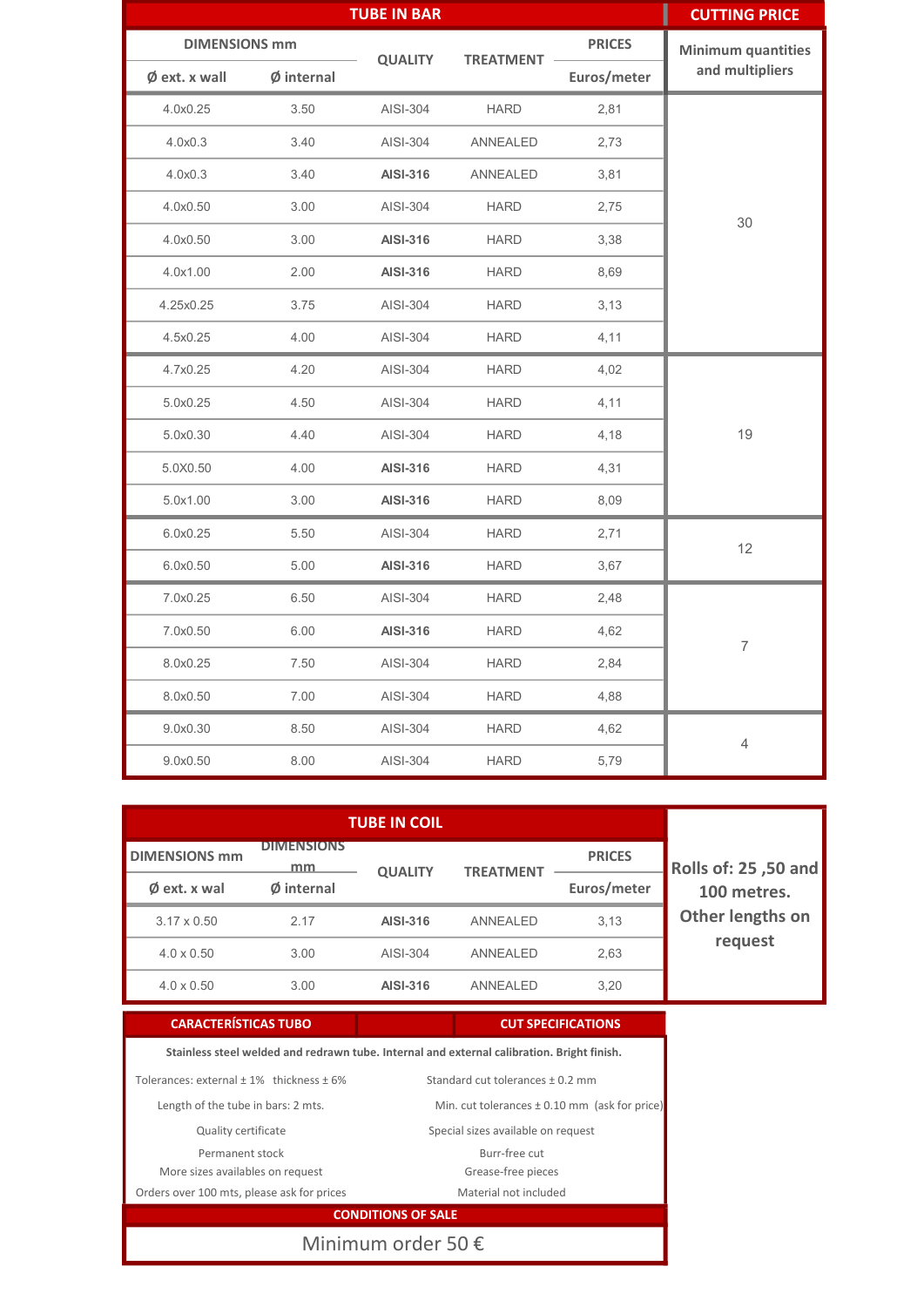|                         |              | <b>TUBE IN BAR</b> |                  |               | ı<br><b>CUTTING PRICE</b> |
|-------------------------|--------------|--------------------|------------------|---------------|---------------------------|
| <b>DIMENSIONS mm</b>    |              |                    |                  | <b>PRICES</b> | <b>Minimum quantities</b> |
| $\emptyset$ ext. x wall | $Ø$ internal | <b>QUALITY</b>     | <b>TREATMENT</b> | Euros/meter   | and multipliers           |
| 4.0x0.25                | 3.50         | AISI-304           | <b>HARD</b>      | 2,81          | 30                        |
| 4.0x0.3                 | 3.40         | AISI-304           | ANNEALED         | 2,73          |                           |
| 4.0x0.3                 | 3.40         | <b>AISI-316</b>    | ANNEALED         | 3,81          |                           |
| 4.0x0.50                | 3.00         | AISI-304           | <b>HARD</b>      | 2,75          |                           |
| 4.0x0.50                | 3.00         | <b>AISI-316</b>    | <b>HARD</b>      | 3,38          |                           |
| 4.0x1.00                | 2.00         | <b>AISI-316</b>    | <b>HARD</b>      | 8,69          |                           |
| 4.25x0.25               | 3.75         | AISI-304           | <b>HARD</b>      | 3,13          |                           |
| 4.5x0.25                | 4.00         | AISI-304           | <b>HARD</b>      | 4,11          |                           |
| 4.7x0.25                | 4.20         | AISI-304           | <b>HARD</b>      | 4,02          | 19                        |
| 5.0x0.25                | 4.50         | AISI-304           | <b>HARD</b>      | 4,11          |                           |
| 5.0x0.30                | 4.40         | AISI-304           | <b>HARD</b>      | 4,18          |                           |
| 5.0X0.50                | 4.00         | <b>AISI-316</b>    | <b>HARD</b>      | 4,31          |                           |
| 5.0x1.00                | 3.00         | <b>AISI-316</b>    | <b>HARD</b>      | 8,09          |                           |
| 6.0x0.25                | 5.50         | AISI-304           | <b>HARD</b>      | 2,71          | 12                        |
| 6.0x0.50                | 5.00         | <b>AISI-316</b>    | <b>HARD</b>      | 3,67          |                           |
| 7.0x0.25                | 6.50         | AISI-304           | <b>HARD</b>      | 2,48          | $\overline{7}$            |
| 7.0x0.50                | 6.00         | <b>AISI-316</b>    | <b>HARD</b>      | 4,62          |                           |
| 8.0x0.25                | 7.50         | AISI-304           | <b>HARD</b>      | 2,84          |                           |
| 8.0x0.50                | 7.00         | AISI-304           | <b>HARD</b>      | 4,88          |                           |
| 9.0x0.30                | 8.50         | AISI-304           | <b>HARD</b>      | 4,62          | 4                         |
| 9.0x0.50                | 8.00         | AISI-304           | <b>HARD</b>      | 5,79          |                           |

| <b>DIMENSIONS mm</b>   | <b>DIMENSIONS</b><br>mm | <b>QUALITY</b>  | <b>TREATMENT</b> | <b>PRICES</b> | Rolls of: 25,50 and<br>100 metres. |
|------------------------|-------------------------|-----------------|------------------|---------------|------------------------------------|
| $\emptyset$ ext. x wal | Ø internal              |                 |                  | Euros/meter   |                                    |
| $3.17 \times 0.50$     | 2.17                    | <b>AISI-316</b> | ANNEALED         | 3.13          | Other lengths on                   |
| $4.0 \times 0.50$      | 3.00                    | AISI-304        | ANNEALED         | 2,63          | request                            |
| $4.0 \times 0.50$      | 3.00                    | <b>AISI-316</b> | ANNEAI FD        | 3,20          |                                    |

### CARACTERÍSTICAS TUBO CUT SPECIFICATIONS

Min. cut tolerances ± 0.10 mm (ask for price)

Tolerances: external  $\pm$  1% thickness  $\pm$  6% Stainless steel welded and redrawn tube. Internal and external calibration. Bright finish. Standard cut tolerances ± 0.2 mm

Length of the tube in bars: 2 mts.

Quality certificate

Permanent stock

More sizes availables on request Orders over 100 mts, please ask for prices

Burr-free cut Grease-free pieces Material not included

Special sizes available on request

CONDITIONS OF SALE

Minimum order 50 €